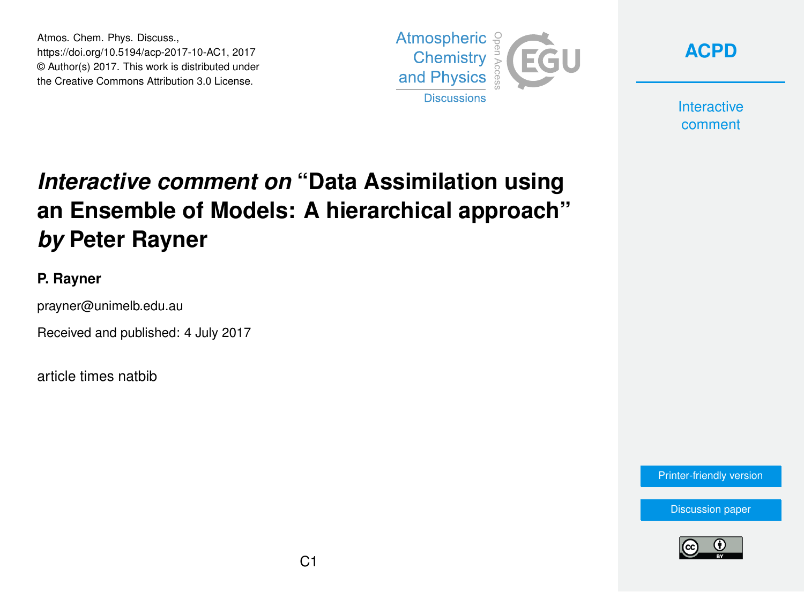Atmos. Chem. Phys. Discuss., https://doi.org/10.5194/acp-2017-10-AC1, 2017 © Author(s) 2017. This work is distributed under the Creative Commons Attribution 3.0 License.





**Interactive** comment

# *Interactive comment on* **"Data Assimilation using an Ensemble of Models: A hierarchical approach"** *by* **Peter Rayner**

#### **P. Rayner**

prayner@unimelb.edu.au

Received and published: 4 July 2017

article times natbib

[Printer-friendly version](https://www.atmos-chem-phys-discuss.net/acp-2017-10/acp-2017-10-AC1-print.pdf)

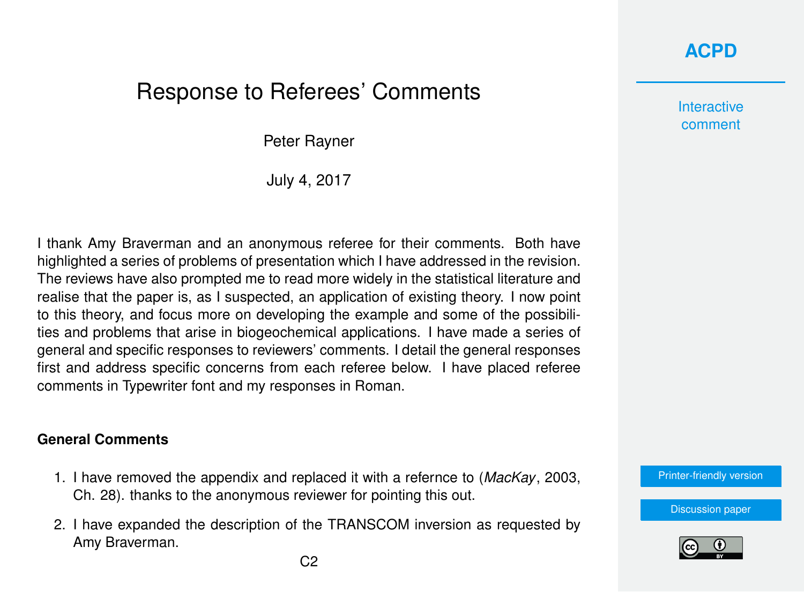### **[ACPD](https://www.atmos-chem-phys-discuss.net/)**

## Response to Referees' Comments

Peter Rayner

July 4, 2017

I thank Amy Braverman and an anonymous referee for their comments. Both have highlighted a series of problems of presentation which I have addressed in the revision. The reviews have also prompted me to read more widely in the statistical literature and realise that the paper is, as I suspected, an application of existing theory. I now point to this theory, and focus more on developing the example and some of the possibilities and problems that arise in biogeochemical applications. I have made a series of general and specific responses to reviewers' comments. I detail the general responses first and address specific concerns from each referee below. I have placed referee comments in Typewriter font and my responses in Roman.

#### **General Comments**

- 1. I have removed the appendix and replaced it with a refernce to (*[MacKay](#page-10-0)*, [2003,](#page-10-0) Ch. 28). thanks to the anonymous reviewer for pointing this out.
- 2. I have expanded the description of the TRANSCOM inversion as requested by Amy Braverman.

**Interactive** comment

[Printer-friendly version](https://www.atmos-chem-phys-discuss.net/acp-2017-10/acp-2017-10-AC1-print.pdf)

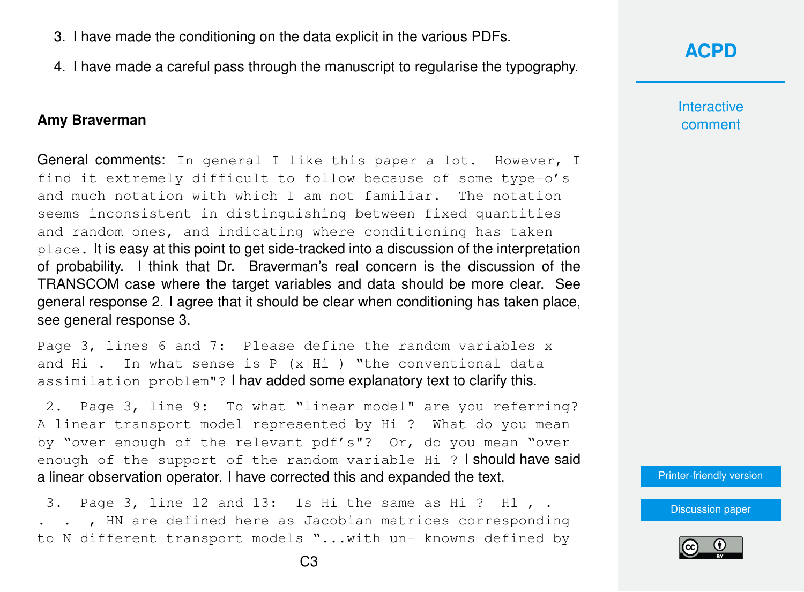- 3. I have made the conditioning on the data explicit in the various PDFs.
- 4. I have made a careful pass through the manuscript to regularise the typography.

#### **Amy Braverman**

General comments: In general I like this paper a lot. However, I find it extremely difficult to follow because of some type-o's and much notation with which I am not familiar. The notation seems inconsistent in distinguishing between fixed quantities and random ones, and indicating where conditioning has taken place. It is easy at this point to get side-tracked into a discussion of the interpretation of probability. I think that Dr. Braverman's real concern is the discussion of the TRANSCOM case where the target variables and data should be more clear. See general response 2. I agree that it should be clear when conditioning has taken place, see general response 3.

Page 3, lines 6 and 7: Please define the random variables x and Hi . In what sense is P  $(x|Hi)$  "the conventional data assimilation problem"? I hav added some explanatory text to clarify this.

2. Page 3, line 9: To what "linear model" are you referring? A linear transport model represented by Hi ? What do you mean by "over enough of the relevant pdf's"? Or, do you mean "over enough of the support of the random variable Hi ? I should have said a linear observation operator. I have corrected this and expanded the text.

3. Page 3, line 12 and 13: Is Hi the same as Hi ? H1 , . . . , HN are defined here as Jacobian matrices corresponding to N different transport models "...with un- knowns defined by

**[ACPD](https://www.atmos-chem-phys-discuss.net/)**

**Interactive** comment

[Printer-friendly version](https://www.atmos-chem-phys-discuss.net/acp-2017-10/acp-2017-10-AC1-print.pdf)

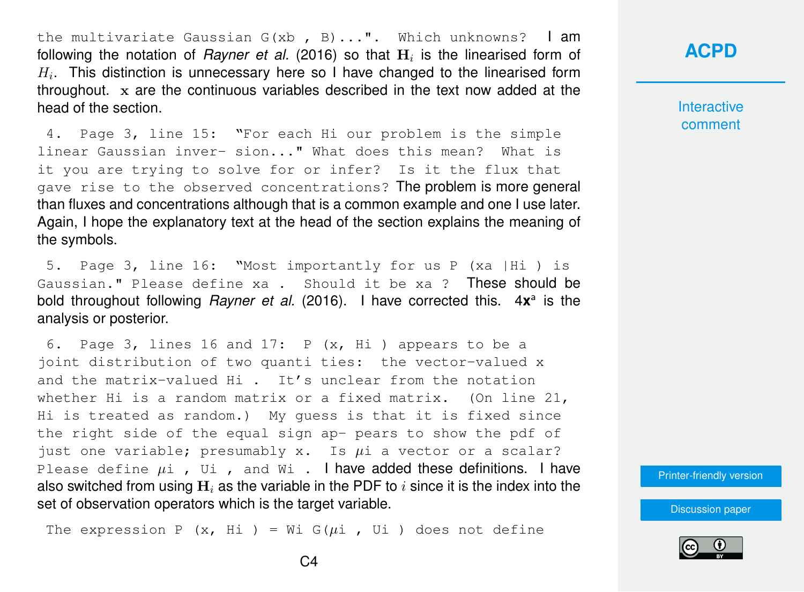the multivariate Gaussian  $G(xb, B) \ldots$ ". Which unknowns? | am following the notation of *[Rayner et al.](#page-10-0)* [\(2016\)](#page-10-0) so that  $\mathbf{H}_i$  is the linearised form of  $H_i$ . This distinction is unnecessary here so I have changed to the linearised form throughout. x are the continuous variables described in the text now added at the head of the section.

4. Page 3, line 15: "For each Hi our problem is the simple linear Gaussian inver- sion..." What does this mean? What is it you are trying to solve for or infer? Is it the flux that gave rise to the observed concentrations? The problem is more general than fluxes and concentrations although that is a common example and one I use later. Again, I hope the explanatory text at the head of the section explains the meaning of the symbols.

5. Page 3, line 16: "Most importantly for us P (xa |Hi ) is Gaussian." Please define xa . Should it be xa ? These should be bold throughout following *[Rayner et al.](#page-10-0)* [\(2016\)](#page-10-0). I have corrected this. 4x<sup>a</sup> is the analysis or posterior.

6. Page 3, lines 16 and 17: P (x, Hi ) appears to be a joint distribution of two quanti ties: the vector-valued x and the matrix-valued Hi . It's unclear from the notation whether Hi is a random matrix or a fixed matrix. (On line 21, Hi is treated as random.) My guess is that it is fixed since the right side of the equal sign ap- pears to show the pdf of just one variable; presumably x. Is  $\mu$ i a vector or a scalar? Please define  $\mu i$ , Ui, and Wi. I have added these definitions. I have also switched from using  $H_i$  as the variable in the PDF to i since it is the index into the set of observation operators which is the target variable.

The expression P  $(x, Hi) = Wi G(\mu i, Ui)$  does not define

### **[ACPD](https://www.atmos-chem-phys-discuss.net/)**

**Interactive** comment

[Printer-friendly version](https://www.atmos-chem-phys-discuss.net/acp-2017-10/acp-2017-10-AC1-print.pdf)

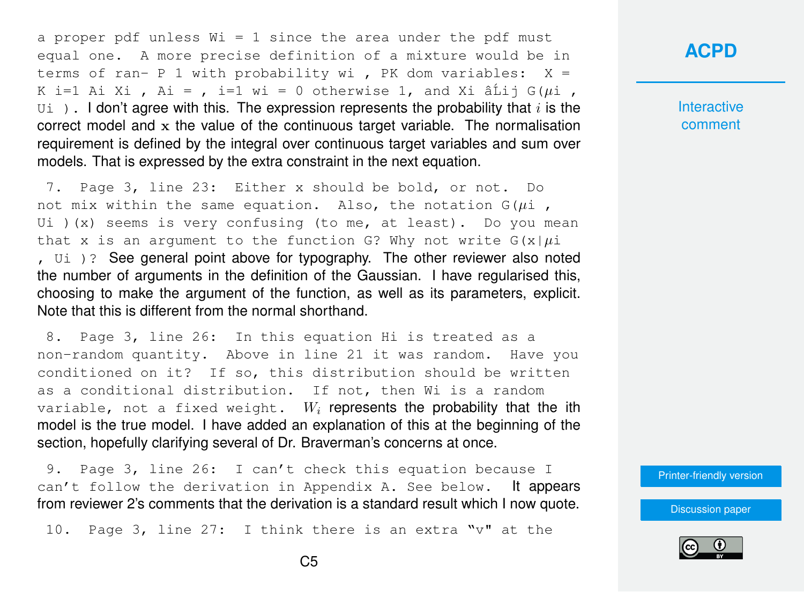a proper pdf unless  $Wi = 1$  since the area under the pdf must equal one. A more precise definition of a mixture would be in terms of ran- P 1 with probability wi , PK dom variables:  $X =$ K i=1 Ai Xi , Ai = , i=1 wi = 0 otherwise 1, and Xi â $\tilde{a}$ ij G( $\mu$ i ,  $U_{\text{U}}$ ). I don't agree with this. The expression represents the probability that i is the correct model and  $x$  the value of the continuous target variable. The normalisation requirement is defined by the integral over continuous target variables and sum over models. That is expressed by the extra constraint in the next equation.

7. Page 3, line 23: Either x should be bold, or not. Do not mix within the same equation. Also, the notation  $G(\mu i)$ , Ui  $(x)$  seems is very confusing (to me, at least). Do you mean that x is an argument to the function G? Why not write  $G(x|\mu)$ , Ui )? See general point above for typography. The other reviewer also noted the number of arguments in the definition of the Gaussian. I have regularised this, choosing to make the argument of the function, as well as its parameters, explicit. Note that this is different from the normal shorthand.

8. Page 3, line 26: In this equation Hi is treated as a non-random quantity. Above in line 21 it was random. Have you conditioned on it? If so, this distribution should be written as a conditional distribution. If not, then Wi is a random variable, not a fixed weight.  $W_i$  represents the probability that the ith model is the true model. I have added an explanation of this at the beginning of the section, hopefully clarifying several of Dr. Braverman's concerns at once.

9. Page 3, line 26: I can't check this equation because I can't follow the derivation in Appendix A. See below. It appears from reviewer 2's comments that the derivation is a standard result which I now quote.

10. Page 3, line 27: I think there is an extra "v" at the

#### **[ACPD](https://www.atmos-chem-phys-discuss.net/)**

**Interactive** comment

[Printer-friendly version](https://www.atmos-chem-phys-discuss.net/acp-2017-10/acp-2017-10-AC1-print.pdf)

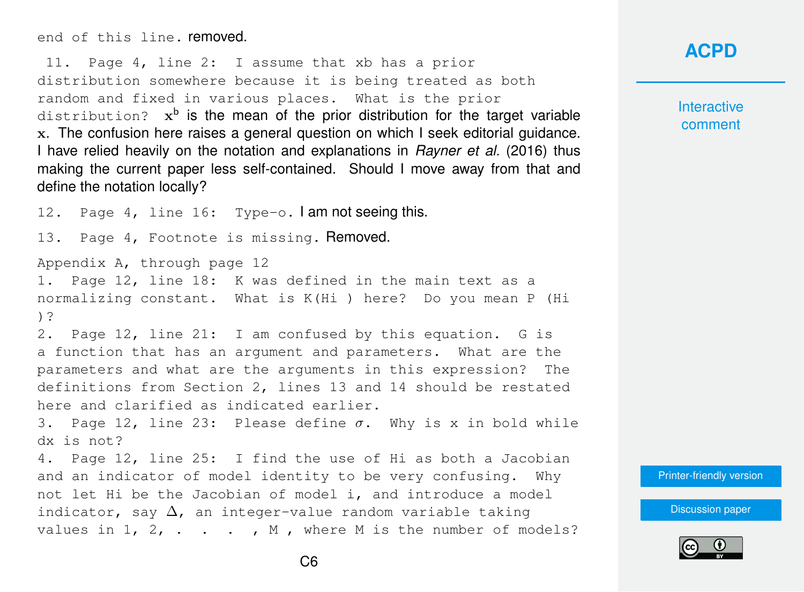end of this line. removed.

11. Page 4, line 2: I assume that xb has a prior distribution somewhere because it is being treated as both random and fixed in various places. What is the prior  $distribution$ ?  $x<sup>b</sup>$  is the mean of the prior distribution for the target variable x. The confusion here raises a general question on which I seek editorial guidance. I have relied heavily on the notation and explanations in *[Rayner et al.](#page-10-0)* [\(2016\)](#page-10-0) thus making the current paper less self-contained. Should I move away from that and define the notation locally?

12. Page 4, line 16: Type-o. I am not seeing this. 13. Page 4, Footnote is missing. Removed. Appendix A, through page 12 1. Page 12, line 18: K was defined in the main text as a normalizing constant. What is K(Hi ) here? Do you mean P (Hi )? 2. Page 12, line 21: I am confused by this equation. G is a function that has an argument and parameters. What are the parameters and what are the arguments in this expression? The definitions from Section 2, lines 13 and 14 should be restated here and clarified as indicated earlier. 3. Page 12, line 23: Please define  $\sigma$ . Why is x in bold while dx is not? 4. Page 12, line 25: I find the use of Hi as both a Jacobian and an indicator of model identity to be very confusing. Why not let Hi be the Jacobian of model i, and introduce a model indicator, say  $\Delta$ , an integer-value random variable taking values in  $1, 2, \ldots$ , M, where M is the number of models?

### **[ACPD](https://www.atmos-chem-phys-discuss.net/)**

**Interactive** comment

[Printer-friendly version](https://www.atmos-chem-phys-discuss.net/acp-2017-10/acp-2017-10-AC1-print.pdf)

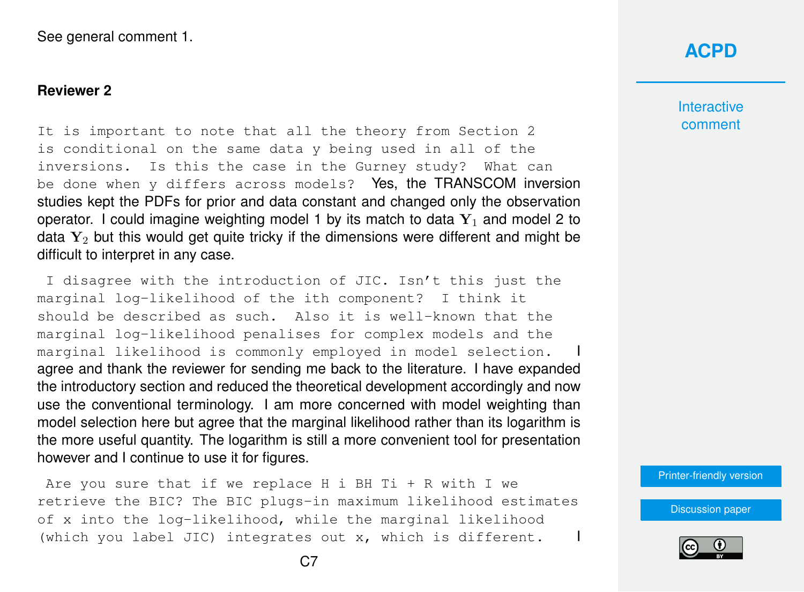#### **Reviewer 2**

It is important to note that all the theory from Section 2 is conditional on the same data y being used in all of the inversions. Is this the case in the Gurney study? What can be done when y differs across models? Yes, the TRANSCOM inversion studies kept the PDFs for prior and data constant and changed only the observation operator. I could imagine weighting model 1 by its match to data  $Y_1$  and model 2 to data  $Y_2$  but this would get quite tricky if the dimensions were different and might be difficult to interpret in any case.

I disagree with the introduction of JIC. Isn't this just the marginal log-likelihood of the ith component? I think it should be described as such. Also it is well-known that the marginal log-likelihood penalises for complex models and the marginal likelihood is commonly employed in model selection. agree and thank the reviewer for sending me back to the literature. I have expanded the introductory section and reduced the theoretical development accordingly and now use the conventional terminology. I am more concerned with model weighting than model selection here but agree that the marginal likelihood rather than its logarithm is the more useful quantity. The logarithm is still a more convenient tool for presentation however and I continue to use it for figures.

Are you sure that if we replace H i BH Ti + R with I we retrieve the BIC? The BIC plugs-in maximum likelihood estimates of x into the log-likelihood, while the marginal likelihood (which you label JIC) integrates out x, which is different. I

### **[ACPD](https://www.atmos-chem-phys-discuss.net/)**

**Interactive** comment

[Printer-friendly version](https://www.atmos-chem-phys-discuss.net/acp-2017-10/acp-2017-10-AC1-print.pdf)

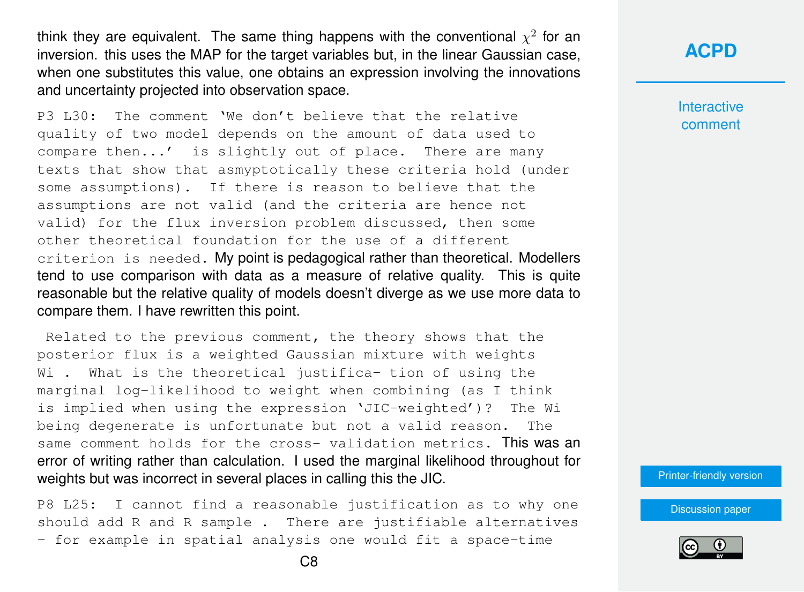think they are equivalent. The same thing happens with the conventional  $\chi^2$  for an inversion. this uses the MAP for the target variables but, in the linear Gaussian case, when one substitutes this value, one obtains an expression involving the innovations and uncertainty projected into observation space.

P3 L30: The comment 'We don't believe that the relative quality of two model depends on the amount of data used to compare then...' is slightly out of place. There are many texts that show that asmyptotically these criteria hold (under some assumptions). If there is reason to believe that the assumptions are not valid (and the criteria are hence not valid) for the flux inversion problem discussed, then some other theoretical foundation for the use of a different criterion is needed. My point is pedagogical rather than theoretical. Modellers tend to use comparison with data as a measure of relative quality. This is quite reasonable but the relative quality of models doesn't diverge as we use more data to compare them. I have rewritten this point.

Related to the previous comment, the theory shows that the posterior flux is a weighted Gaussian mixture with weights Wi . What is the theoretical justifica- tion of using the marginal log-likelihood to weight when combining (as I think is implied when using the expression 'JIC-weighted')? The Wi being degenerate is unfortunate but not a valid reason. The same comment holds for the cross- validation metrics. This was an error of writing rather than calculation. I used the marginal likelihood throughout for weights but was incorrect in several places in calling this the JIC.

P8 L25: I cannot find a reasonable justification as to why one should add R and R sample . There are justifiable alternatives - for example in spatial analysis one would fit a space-time

**[ACPD](https://www.atmos-chem-phys-discuss.net/)**

**Interactive** comment

[Printer-friendly version](https://www.atmos-chem-phys-discuss.net/acp-2017-10/acp-2017-10-AC1-print.pdf)

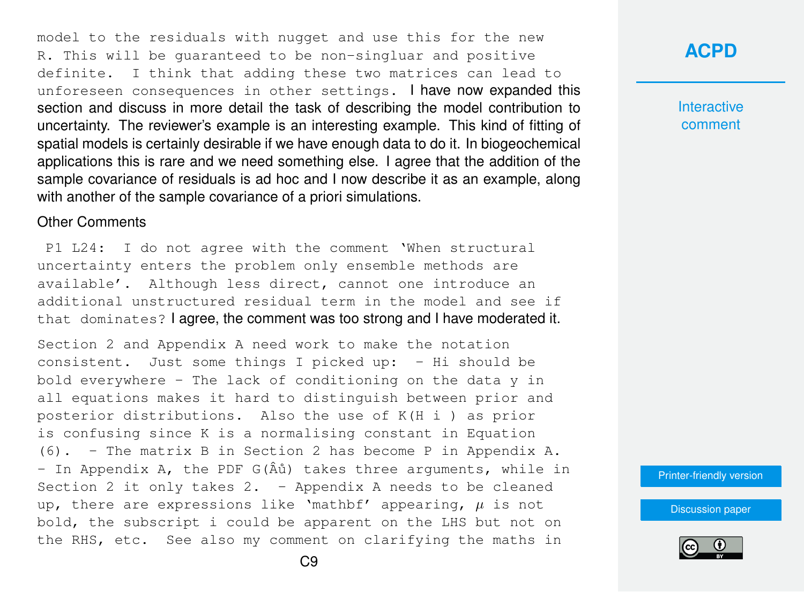model to the residuals with nugget and use this for the new R. This will be guaranteed to be non-singluar and positive definite. I think that adding these two matrices can lead to unforeseen consequences in other settings. I have now expanded this section and discuss in more detail the task of describing the model contribution to uncertainty. The reviewer's example is an interesting example. This kind of fitting of spatial models is certainly desirable if we have enough data to do it. In biogeochemical applications this is rare and we need something else. I agree that the addition of the sample covariance of residuals is ad hoc and I now describe it as an example, along with another of the sample covariance of a priori simulations.

#### Other Comments

P1 L24: I do not agree with the comment 'When structural uncertainty enters the problem only ensemble methods are available'. Although less direct, cannot one introduce an additional unstructured residual term in the model and see if that dominates? I agree, the comment was too strong and I have moderated it.

Section 2 and Appendix A need work to make the notation consistent. Just some things I picked up: - Hi should be bold everywhere - The lack of conditioning on the data y in all equations makes it hard to distinguish between prior and posterior distributions. Also the use of K(H i ) as prior is confusing since K is a normalising constant in Equation (6). - The matrix B in Section 2 has become P in Appendix A. - In Appendix A, the PDF  $G(\hat{A} \hat{u})$  takes three arguments, while in Section 2 it only takes  $2. -$  Appendix A needs to be cleaned up, there are expressions like 'mathbf' appearing,  $\mu$  is not bold, the subscript i could be apparent on the LHS but not on the RHS, etc. See also my comment on clarifying the maths in

### **[ACPD](https://www.atmos-chem-phys-discuss.net/)**

**Interactive** comment

[Printer-friendly version](https://www.atmos-chem-phys-discuss.net/acp-2017-10/acp-2017-10-AC1-print.pdf)

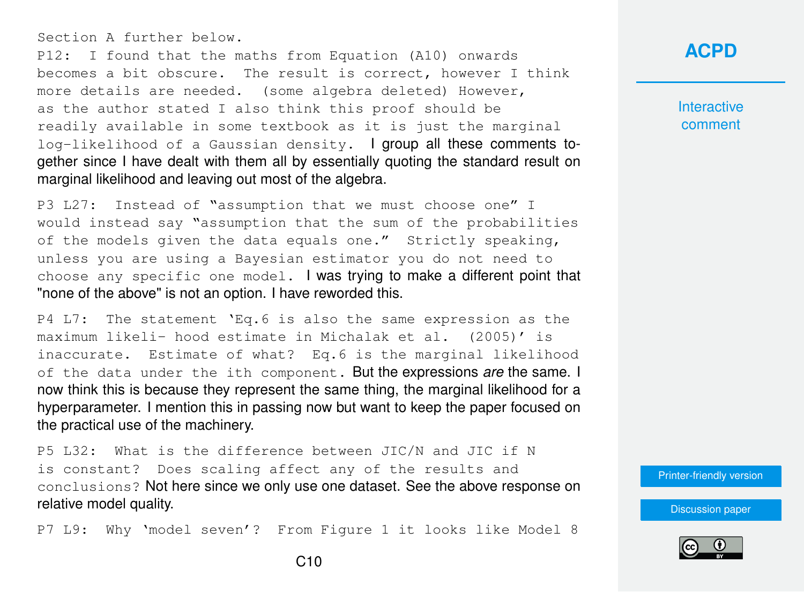Section A further below.

P12: I found that the maths from Equation (A10) onwards becomes a bit obscure. The result is correct, however I think more details are needed. (some algebra deleted) However, as the author stated I also think this proof should be readily available in some textbook as it is just the marginal log-likelihood of a Gaussian density. I group all these comments together since I have dealt with them all by essentially quoting the standard result on marginal likelihood and leaving out most of the algebra.

P3 L27: Instead of "assumption that we must choose one" I would instead say "assumption that the sum of the probabilities of the models given the data equals one." Strictly speaking, unless you are using a Bayesian estimator you do not need to choose any specific one model. I was trying to make a different point that "none of the above" is not an option. I have reworded this.

P4 L7: The statement 'Eq.6 is also the same expression as the maximum likeli- hood estimate in Michalak et al. (2005)' is inaccurate. Estimate of what? Eq.6 is the marginal likelihood of the data under the ith component. But the expressions *are* the same. I now think this is because they represent the same thing, the marginal likelihood for a hyperparameter. I mention this in passing now but want to keep the paper focused on the practical use of the machinery.

P5 L32: What is the difference between JIC/N and JIC if N is constant? Does scaling affect any of the results and conclusions? Not here since we only use one dataset. See the above response on relative model quality.

P7 L9: Why 'model seven'? From Figure 1 it looks like Model 8

#### **[ACPD](https://www.atmos-chem-phys-discuss.net/)**

**Interactive** comment

[Printer-friendly version](https://www.atmos-chem-phys-discuss.net/acp-2017-10/acp-2017-10-AC1-print.pdf)